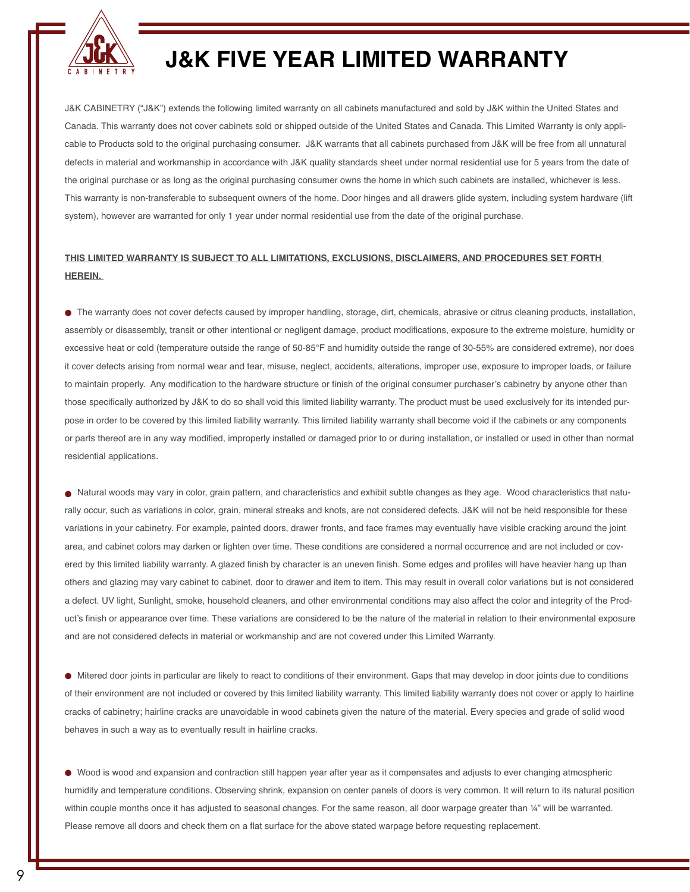

## **J&K FIVE YEAR LIMITED WARRANTY**

J&K CABINETRY ("J&K") extends the following limited warranty on all cabinets manufactured and sold by J&K within the United States and Canada. This warranty does not cover cabinets sold or shipped outside of the United States and Canada. This Limited Warranty is only applicable to Products sold to the original purchasing consumer. J&K warrants that all cabinets purchased from J&K will be free from all unnatural defects in material and workmanship in accordance with J&K quality standards sheet under normal residential use for 5 years from the date of the original purchase or as long as the original purchasing consumer owns the home in which such cabinets are installed, whichever is less. This warranty is non-transferable to subsequent owners of the home. Door hinges and all drawers glide system, including system hardware (lift system), however are warranted for only 1 year under normal residential use from the date of the original purchase.

## **THIS LIMITED WARRANTY IS SUBJECT TO ALL LIMITATIONS, EXCLUSIONS, DISCLAIMERS, AND PROCEDURES SET FORTH HEREIN.**

 The warranty does not cover defects caused by improper handling, storage, dirt, chemicals, abrasive or citrus cleaning products, installation, assembly or disassembly, transit or other intentional or negligent damage, product modifications, exposure to the extreme moisture, humidity or excessive heat or cold (temperature outside the range of 50-85°F and humidity outside the range of 30-55% are considered extreme), nor does it cover defects arising from normal wear and tear, misuse, neglect, accidents, alterations, improper use, exposure to improper loads, or failure to maintain properly. Any modification to the hardware structure or finish of the original consumer purchaser's cabinetry by anyone other than those specifically authorized by J&K to do so shall void this limited liability warranty. The product must be used exclusively for its intended purpose in order to be covered by this limited liability warranty. This limited liability warranty shall become void if the cabinets or any components or parts thereof are in any way modified, improperly installed or damaged prior to or during installation, or installed or used in other than normal residential applications.

 Natural woods may vary in color, grain pattern, and characteristics and exhibit subtle changes as they age. Wood characteristics that naturally occur, such as variations in color, grain, mineral streaks and knots, are not considered defects. J&K will not be held responsible for these variations in your cabinetry. For example, painted doors, drawer fronts, and face frames may eventually have visible cracking around the joint area, and cabinet colors may darken or lighten over time. These conditions are considered a normal occurrence and are not included or covered by this limited liability warranty. A glazed finish by character is an uneven finish. Some edges and profiles will have heavier hang up than others and glazing may vary cabinet to cabinet, door to drawer and item to item. This may result in overall color variations but is not considered a defect. UV light, Sunlight, smoke, household cleaners, and other environmental conditions may also affect the color and integrity of the Product's finish or appearance over time. These variations are considered to be the nature of the material in relation to their environmental exposure and are not considered defects in material or workmanship and are not covered under this Limited Warranty.

 Mitered door joints in particular are likely to react to conditions of their environment. Gaps that may develop in door joints due to conditions of their environment are not included or covered by this limited liability warranty. This limited liability warranty does not cover or apply to hairline cracks of cabinetry; hairline cracks are unavoidable in wood cabinets given the nature of the material. Every species and grade of solid wood behaves in such a way as to eventually result in hairline cracks.

 Wood is wood and expansion and contraction still happen year after year as it compensates and adjusts to ever changing atmospheric humidity and temperature conditions. Observing shrink, expansion on center panels of doors is very common. It will return to its natural position within couple months once it has adjusted to seasonal changes. For the same reason, all door warpage greater than ¼" will be warranted. Please remove all doors and check them on a flat surface for the above stated warpage before requesting replacement.